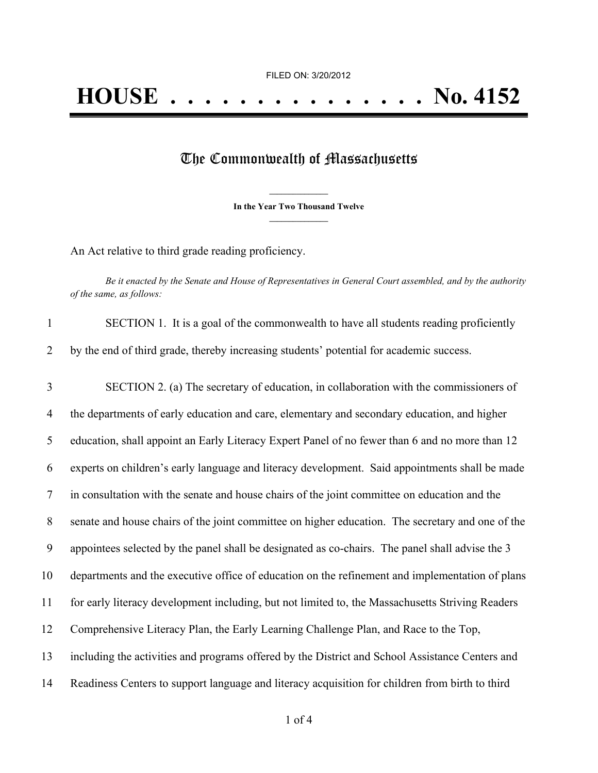## The Commonwealth of Massachusetts

**\_\_\_\_\_\_\_\_\_\_\_\_\_\_\_ In the Year Two Thousand Twelve \_\_\_\_\_\_\_\_\_\_\_\_\_\_\_**

An Act relative to third grade reading proficiency.

Be it enacted by the Senate and House of Representatives in General Court assembled, and by the authority *of the same, as follows:*

| SECTION 1. It is a goal of the commonwealth to have all students reading proficiently   |
|-----------------------------------------------------------------------------------------|
| by the end of third grade, thereby increasing students' potential for academic success. |

 SECTION 2. (a) The secretary of education, in collaboration with the commissioners of the departments of early education and care, elementary and secondary education, and higher education, shall appoint an Early Literacy Expert Panel of no fewer than 6 and no more than 12 experts on children's early language and literacy development. Said appointments shall be made in consultation with the senate and house chairs of the joint committee on education and the senate and house chairs of the joint committee on higher education. The secretary and one of the appointees selected by the panel shall be designated as co-chairs. The panel shall advise the 3 departments and the executive office of education on the refinement and implementation of plans for early literacy development including, but not limited to, the Massachusetts Striving Readers Comprehensive Literacy Plan, the Early Learning Challenge Plan, and Race to the Top, including the activities and programs offered by the District and School Assistance Centers and Readiness Centers to support language and literacy acquisition for children from birth to third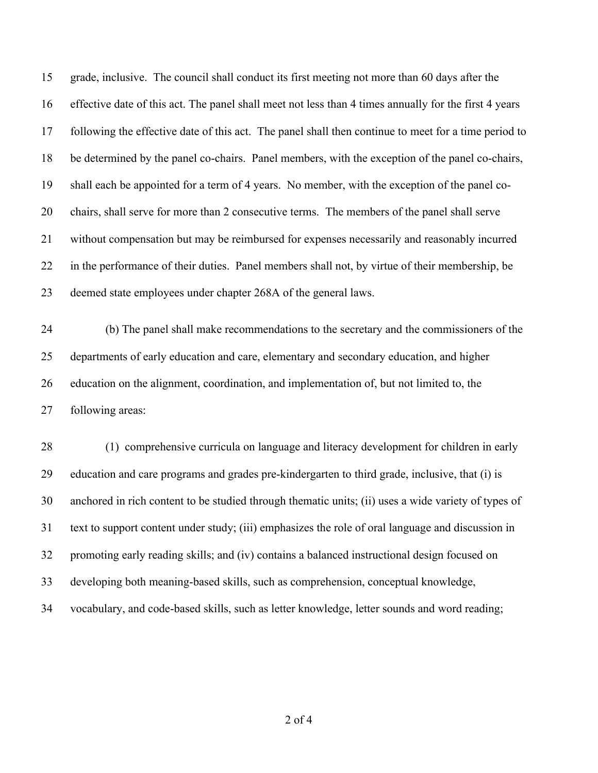grade, inclusive. The council shall conduct its first meeting not more than 60 days after the effective date of this act. The panel shall meet not less than 4 times annually for the first 4 years following the effective date of this act. The panel shall then continue to meet for a time period to be determined by the panel co-chairs. Panel members, with the exception of the panel co-chairs, shall each be appointed for a term of 4 years. No member, with the exception of the panel co- chairs, shall serve for more than 2 consecutive terms. The members of the panel shall serve without compensation but may be reimbursed for expenses necessarily and reasonably incurred in the performance of their duties. Panel members shall not, by virtue of their membership, be deemed state employees under chapter 268A of the general laws.

 (b) The panel shall make recommendations to the secretary and the commissioners of the departments of early education and care, elementary and secondary education, and higher education on the alignment, coordination, and implementation of, but not limited to, the following areas:

 (1) comprehensive curricula on language and literacy development for children in early education and care programs and grades pre-kindergarten to third grade, inclusive, that (i) is anchored in rich content to be studied through thematic units; (ii) uses a wide variety of types of text to support content under study; (iii) emphasizes the role of oral language and discussion in promoting early reading skills; and (iv) contains a balanced instructional design focused on developing both meaning-based skills, such as comprehension, conceptual knowledge, vocabulary, and code-based skills, such as letter knowledge, letter sounds and word reading;

of 4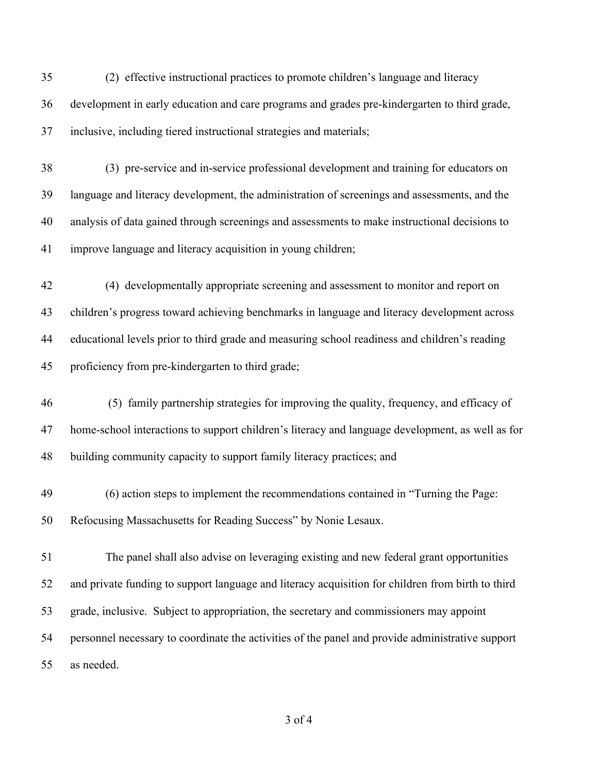(2) effective instructional practices to promote children's language and literacy development in early education and care programs and grades pre-kindergarten to third grade, inclusive, including tiered instructional strategies and materials;

 (3) pre-service and in-service professional development and training for educators on language and literacy development, the administration of screenings and assessments, and the analysis of data gained through screenings and assessments to make instructional decisions to improve language and literacy acquisition in young children;

 (4) developmentally appropriate screening and assessment to monitor and report on children's progress toward achieving benchmarks in language and literacy development across educational levels prior to third grade and measuring school readiness and children's reading proficiency from pre-kindergarten to third grade;

- (5) family partnership strategies for improving the quality, frequency, and efficacy of home-school interactions to support children's literacy and language development, as well as for building community capacity to support family literacy practices; and
- (6) action steps to implement the recommendations contained in "Turning the Page: Refocusing Massachusetts for Reading Success" by Nonie Lesaux.

 The panel shall also advise on leveraging existing and new federal grant opportunities and private funding to support language and literacy acquisition for children from birth to third grade, inclusive. Subject to appropriation, the secretary and commissioners may appoint personnel necessary to coordinate the activities of the panel and provide administrative support as needed.